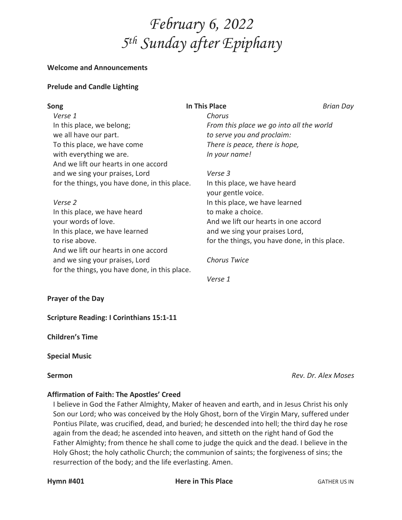

#### **Welcome and Announcements**

### **Prelude and Candle Lighting**

| Song                                          | <b>In This Place</b>                          | Brian Day                                |  |
|-----------------------------------------------|-----------------------------------------------|------------------------------------------|--|
| Verse 1                                       | Chorus                                        |                                          |  |
| In this place, we belong;                     |                                               | From this place we go into all the world |  |
| we all have our part.                         |                                               | to serve you and proclaim:               |  |
| To this place, we have come                   | There is peace, there is hope,                |                                          |  |
| with everything we are.                       | In your name!                                 |                                          |  |
| And we lift our hearts in one accord          |                                               |                                          |  |
| and we sing your praises, Lord                | Verse 3                                       |                                          |  |
| for the things, you have done, in this place. | In this place, we have heard                  |                                          |  |
|                                               | your gentle voice.                            |                                          |  |
| Verse 2                                       | In this place, we have learned                |                                          |  |
| In this place, we have heard                  | to make a choice.                             |                                          |  |
| your words of love.                           |                                               | And we lift our hearts in one accord     |  |
| In this place, we have learned                |                                               | and we sing your praises Lord,           |  |
| to rise above.                                | for the things, you have done, in this place. |                                          |  |
| And we lift our hearts in one accord          |                                               |                                          |  |
| and we sing your praises, Lord                | <b>Chorus Twice</b>                           |                                          |  |
| for the things, you have done, in this place. |                                               |                                          |  |
|                                               | Verse 1                                       |                                          |  |

#### **Prayer of the Day**

**Scripture Reading: I Corinthians 15:1-11**

**Children's Time**

#### **Special Music**

**Sermon** *Rev. Dr. Alex Moses*

# **Affirmation of Faith: The Apostles' Creed**

I believe in God the Father Almighty, Maker of heaven and earth, and in Jesus Christ his only Son our Lord; who was conceived by the Holy Ghost, born of the Virgin Mary, suffered under Pontius Pilate, was crucified, dead, and buried; he descended into hell; the third day he rose again from the dead; he ascended into heaven, and sitteth on the right hand of God the Father Almighty; from thence he shall come to judge the quick and the dead. I believe in the Holy Ghost; the holy catholic Church; the communion of saints; the forgiveness of sins; the resurrection of the body; and the life everlasting. Amen.

**Hymn #401 Here in This Place GATHER US IN**